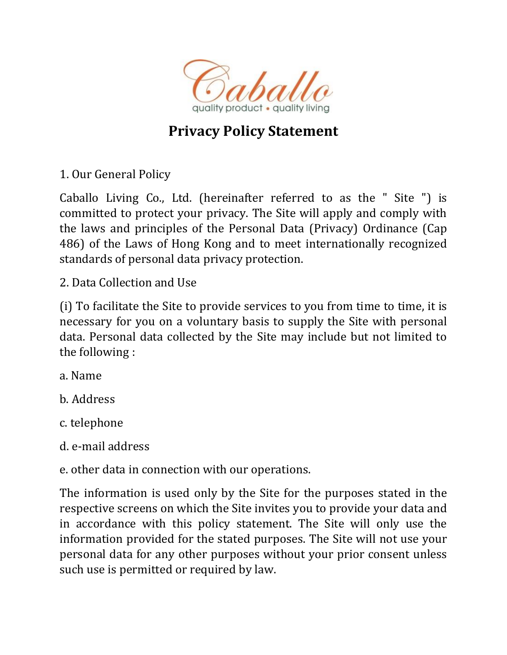

## **Privacy Policy Statement**

1. Our General Policy

Caballo Living Co., Ltd. (hereinafter referred to as the " Site ") is committed to protect your privacy. The Site will apply and comply with the laws and principles of the Personal Data (Privacy) Ordinance (Cap 486) of the Laws of Hong Kong and to meet internationally recognized standards of personal data privacy protection.

2. Data Collection and Use

(i) To facilitate the Site to provide services to you from time to time, it is necessary for you on a voluntary basis to supply the Site with personal data. Personal data collected by the Site may include but not limited to the following :

a. Name

b. Address

c. telephone

d. e-mail address

e. other data in connection with our operations.

The information is used only by the Site for the purposes stated in the respective screens on which the Site invites you to provide your data and in accordance with this policy statement. The Site will only use the information provided for the stated purposes. The Site will not use your personal data for any other purposes without your prior consent unless such use is permitted or required by law.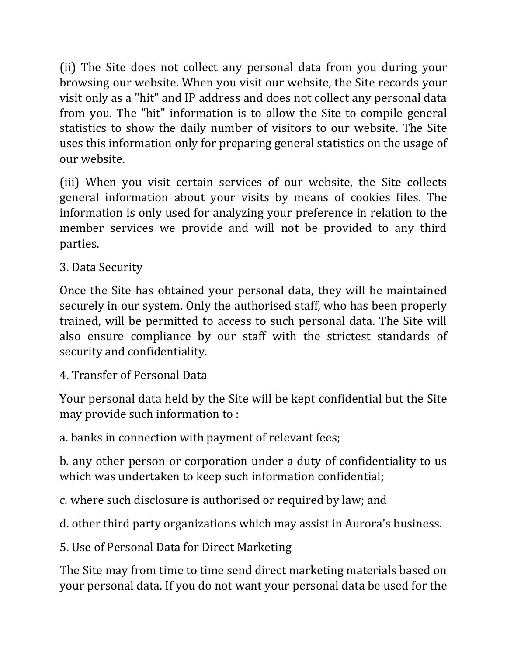(ii) The Site does not collect any personal data from you during your browsing our website. When you visit our website, the Site records your visit only as a "hit" and IP address and does not collect any personal data from you. The "hit" information is to allow the Site to compile general statistics to show the daily number of visitors to our website. The Site uses this information only for preparing general statistics on the usage of our website.

(iii) When you visit certain services of our website, the Site collects general information about your visits by means of cookies files. The information is only used for analyzing your preference in relation to the member services we provide and will not be provided to any third parties.

3. Data Security

Once the Site has obtained your personal data, they will be maintained securely in our system. Only the authorised staff, who has been properly trained, will be permitted to access to such personal data. The Site will also ensure compliance by our staff with the strictest standards of security and confidentiality.

4. Transfer of Personal Data

Your personal data held by the Site will be kept confidential but the Site may provide such information to :

a. banks in connection with payment of relevant fees;

b. any other person or corporation under a duty of confidentiality to us which was undertaken to keep such information confidential;

c. where such disclosure is authorised or required by law; and

d. other third party organizations which may assist in Aurora's business.

5. Use of Personal Data for Direct Marketing

The Site may from time to time send direct marketing materials based on your personal data. If you do not want your personal data be used for the